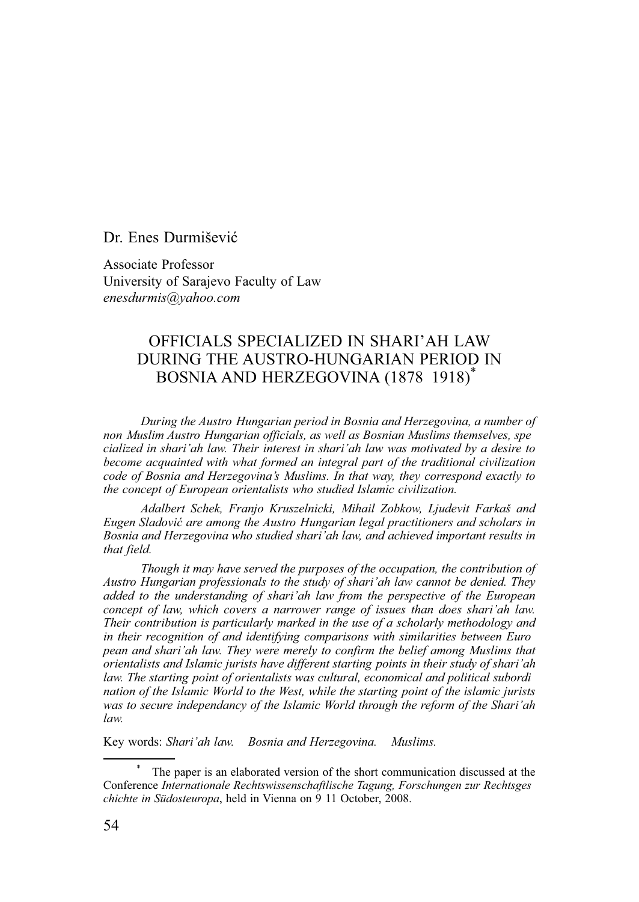Dr. Enes Durmišević

Associate Professor University of Sarajevo Faculty of Law *enesdurmis@yahoo.com*

## OFFICIALS SPECIALIZED IN SHARI'AH LAW DURING THE AUSTRO-HUNGARIAN PERIOD IN BOSNIA AND HERZEGOVINA (1878 1918)\*

*During the Austro Hungarian period in Bosnia and Herzegovina, a number of non Muslim Austro Hungarian officials, as well as Bosnian Muslims themselves, spe cialized in shari'ah law. Their interest in shari'ah law was motivated by a desire to become acquainted with what formed an integral part of the traditional civilization code of Bosnia and Herzegovina's Muslims. In that way, they correspond exactly to the concept of European orientalists who studied Islamic civilization.*

*Adalbert Schek, Franjo Kruszelnicki, Mihail Zobkow, Ljudevit Farkaš and Eugen Sladović are among the Austro Hungarian legal practitioners and scholars in Bosnia and Herzegovina who studied shari'ah law, and achieved important results in that field.*

*Though it may have served the purposes of the occupation, the contribution of Austro Hungarian professionals to the study of shari'ah law cannot be denied. They added to the understanding of shari'ah law from the perspective of the European concept of law, which covers a narrower range of issues than does shari'ah law. Their contribution is particularly marked in the use of a scholarly methodology and in their recognition of and identifying comparisons with similarities between Euro pean and shari'ah law. They were merely to confirm the belief among Muslims that orientalists and Islamic jurists have different starting points in their study of shari'ah law. The starting point of orientalists was cultural, economical and political subordi nation of the Islamic World to the West, while the starting point of the islamic jurists was to secure independancy of the Islamic World through the reform of the Shari'ah law.*

Key words: *Shari'ah law. Bosnia and Herzegovina. Muslims.*

<sup>\*</sup> The paper is an elaborated version of the short communication discussed at the Conference *Internationale Rechtswissenschaftlische Tagung, Forschungen zur Rechtsges chichte in Südosteuropa*, held in Vienna on 9 11 October, 2008.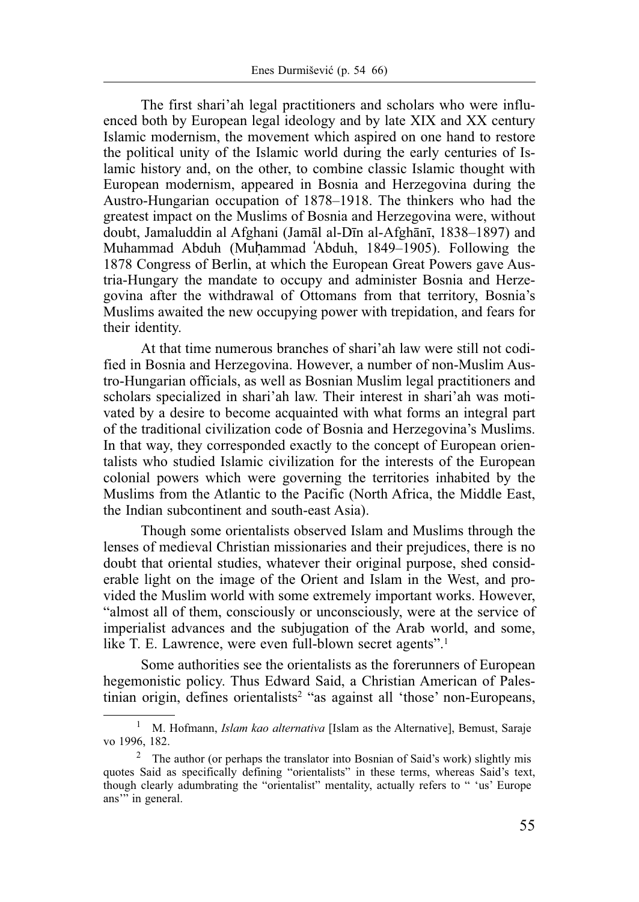The first shari'ah legal practitioners and scholars who were influenced both by European legal ideology and by late XIX and XX century Islamic modernism, the movement which aspired on one hand to restore the political unity of the Islamic world during the early centuries of Islamic history and, on the other, to combine classic Islamic thought with European modernism, appeared in Bosnia and Herzegovina during the Austro-Hungarian occupation of 1878–1918. The thinkers who had the greatest impact on the Muslims of Bosnia and Herzegovina were, without doubt, Jamaluddin al Afghani (Jamāl al-Dīn al-Afghānī, 1838–1897) and Muhammad Abduh (Muhammad 'Abduh, 1849–1905). Following the 1878 Congress of Berlin, at which the European Great Powers gave Austria-Hungary the mandate to occupy and administer Bosnia and Herzegovina after the withdrawal of Ottomans from that territory, Bosnia's Muslims awaited the new occupying power with trepidation, and fears for their identity.

At that time numerous branches of shari'ah law were still not codified in Bosnia and Herzegovina. However, a number of non-Muslim Austro-Hungarian officials, as well as Bosnian Muslim legal practitioners and scholars specialized in shari'ah law. Their interest in shari'ah was motivated by a desire to become acquainted with what forms an integral part of the traditional civilization code of Bosnia and Herzegovina's Muslims. In that way, they corresponded exactly to the concept of European orientalists who studied Islamic civilization for the interests of the European colonial powers which were governing the territories inhabited by the Muslims from the Atlantic to the Pacific (North Africa, the Middle East, the Indian subcontinent and south-east Asia).

Though some orientalists observed Islam and Muslims through the lenses of medieval Christian missionaries and their prejudices, there is no doubt that oriental studies, whatever their original purpose, shed considerable light on the image of the Orient and Islam in the West, and provided the Muslim world with some extremely important works. However, "almost all of them, consciously or unconsciously, were at the service of imperialist advances and the subjugation of the Arab world, and some, like T. E. Lawrence, were even full-blown secret agents".<sup>1</sup>

Some authorities see the orientalists as the forerunners of European hegemonistic policy. Thus Edward Said, a Christian American of Palestinian origin, defines orientalists<sup>2</sup> "as against all 'those' non-Europeans,

<sup>1</sup> M. Hofmann, *Islam kao alternativa* [Islam as the Alternative], Bemust, Saraje vo 1996, 182.

<sup>&</sup>lt;sup>2</sup> The author (or perhaps the translator into Bosnian of Said's work) slightly mis quotes Said as specifically defining "orientalists" in these terms, whereas Said's text, though clearly adumbrating the "orientalist" mentality, actually refers to " 'us' Europe ans" in general.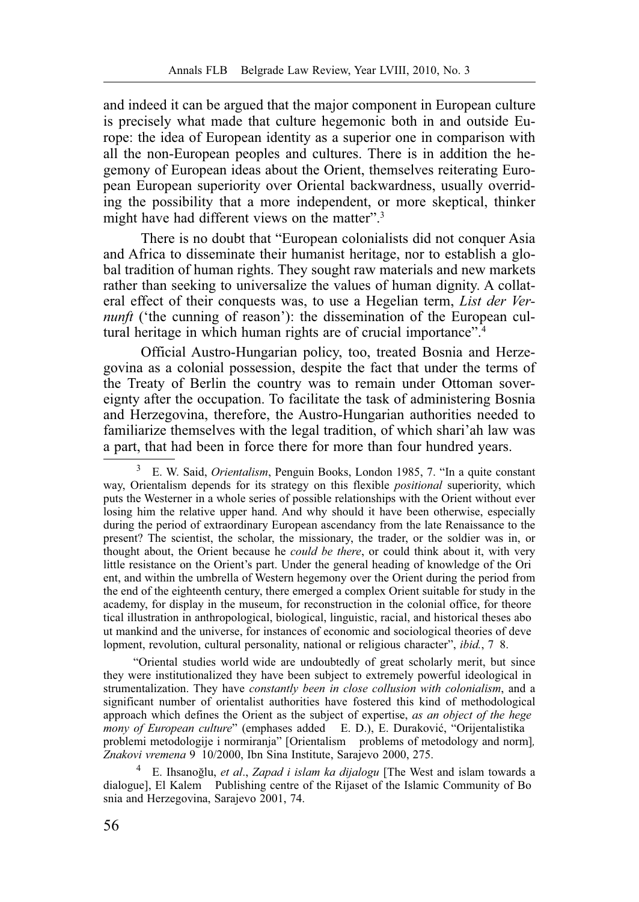and indeed it can be argued that the major component in European culture is precisely what made that culture hegemonic both in and outside Europe: the idea of European identity as a superior one in comparison with all the non-European peoples and cultures. There is in addition the hegemony of European ideas about the Orient, themselves reiterating European European superiority over Oriental backwardness, usually overriding the possibility that a more independent, or more skeptical, thinker might have had different views on the matter".<sup>3</sup>

There is no doubt that "European colonialists did not conquer Asia and Africa to disseminate their humanist heritage, nor to establish a global tradition of human rights. They sought raw materials and new markets rather than seeking to universalize the values of human dignity. A collateral effect of their conquests was, to use a Hegelian term, *List der Vernunft* ('the cunning of reason'): the dissemination of the European cultural heritage in which human rights are of crucial importance".<sup>4</sup>

Official Austro-Hungarian policy, too, treated Bosnia and Herzegovina as a colonial possession, despite the fact that under the terms of the Treaty of Berlin the country was to remain under Ottoman sovereignty after the occupation. To facilitate the task of administering Bosnia and Herzegovina, therefore, the Austro-Hungarian authorities needed to familiarize themselves with the legal tradition, of which shari'ah law was a part, that had been in force there for more than four hundred years.

"Oriental studies world wide are undoubtedly of great scholarly merit, but since they were institutionalized they have been subject to extremely powerful ideological in strumentalization. They have *constantly been in close collusion with colonialism*, and a significant number of orientalist authorities have fostered this kind of methodological approach which defines the Orient as the subject of expertise, *as an object of the hege mony of European culture*" (emphases added E. D.), E. Duraković, "Orijentalistika problemi metodologije i normiranja" [Orientalism problems of metodology and norm]*, Znakovi vremena* 9 10/2000, Ibn Sina Institute, Sarajevo 2000, 275.

4 E. Ihsanoğlu, *et al*., *Zapad i islam ka dijalogu* [The West and islam towards a dialogue], El Kalem Publishing centre of the Rijaset of the Islamic Community of Bo snia and Herzegovina, Sarajevo 2001, 74.

<sup>3</sup> E. W. Said, *Orientalism*, Penguin Books, London 1985, 7. "In a quite constant way, Orientalism depends for its strategy on this flexible *positional* superiority, which puts the Westerner in a whole series of possible relationships with the Orient without ever losing him the relative upper hand. And why should it have been otherwise, especially during the period of extraordinary European ascendancy from the late Renaissance to the present? The scientist, the scholar, the missionary, the trader, or the soldier was in, or thought about, the Orient because he *could be there*, or could think about it, with very little resistance on the Orient's part. Under the general heading of knowledge of the Ori ent, and within the umbrella of Western hegemony over the Orient during the period from the end of the eighteenth century, there emerged a complex Orient suitable for study in the academy, for display in the museum, for reconstruction in the colonial office, for theore tical illustration in anthropological, biological, linguistic, racial, and historical theses abo ut mankind and the universe, for instances of economic and sociological theories of deve lopment, revolution, cultural personality, national or religious character", *ibid.*, 7 8.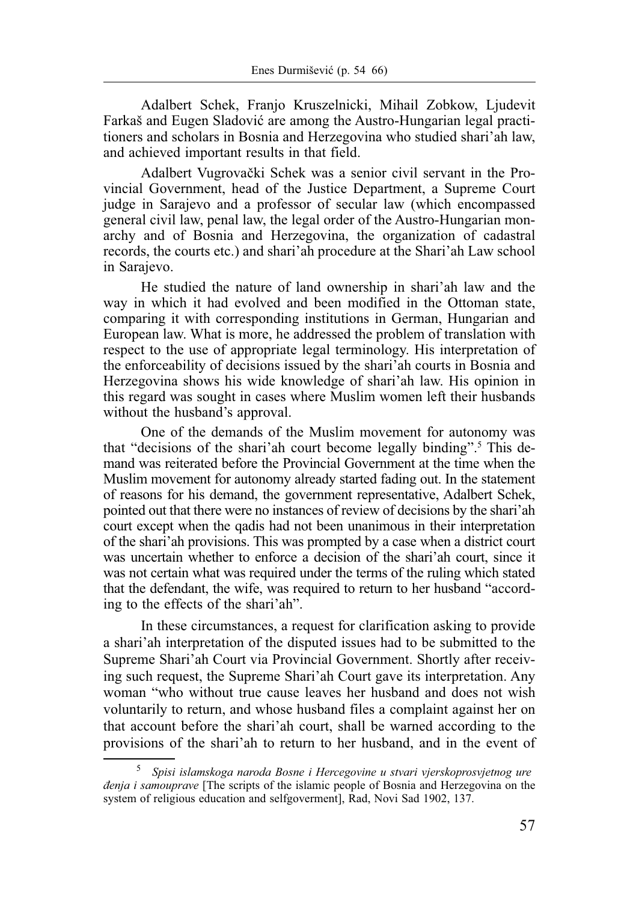Adalbert Schek, Franjo Kruszelnicki, Mihail Zobkow, Ljudevit Farkaš and Eugen Sladović are among the Austro-Hungarian legal practitioners and scholars in Bosnia and Herzegovina who studied shari'ah law, and achieved important results in that field.

Adalbert Vugrovački Schek was a senior civil servant in the Provincial Government, head of the Justice Department, a Supreme Court judge in Sarajevo and a professor of secular law (which encompassed general civil law, penal law, the legal order of the Austro-Hungarian monarchy and of Bosnia and Herzegovina, the organization of cadastral records, the courts etc.) and shari'ah procedure at the Shari'ah Law school in Sarajevo.

He studied the nature of land ownership in shari'ah law and the way in which it had evolved and been modified in the Ottoman state, comparing it with corresponding institutions in German, Hungarian and European law. What is more, he addressed the problem of translation with respect to the use of appropriate legal terminology. His interpretation of the enforceability of decisions issued by the shari'ah courts in Bosnia and Herzegovina shows his wide knowledge of shari'ah law. His opinion in this regard was sought in cases where Muslim women left their husbands without the husband's approval.

One of the demands of the Muslim movement for autonomy was that "decisions of the shari'ah court become legally binding".<sup>5</sup> This demand was reiterated before the Provincial Government at the time when the Muslim movement for autonomy already started fading out. In the statement of reasons for his demand, the government representative, Adalbert Schek, pointed out that there were no instances of review of decisions by the shari'ah court except when the qadis had not been unanimous in their interpretation of the shari'ah provisions. This was prompted by a case when a district court was uncertain whether to enforce a decision of the shari'ah court, since it was not certain what was required under the terms of the ruling which stated that the defendant, the wife, was required to return to her husband "according to the effects of the shari'ah".

In these circumstances, a request for clarification asking to provide a shari'ah interpretation of the disputed issues had to be submitted to the Supreme Shari'ah Court via Provincial Government. Shortly after receiving such request, the Supreme Shari'ah Court gave its interpretation. Any woman "who without true cause leaves her husband and does not wish voluntarily to return, and whose husband files a complaint against her on that account before the shari'ah court, shall be warned according to the provisions of the shari'ah to return to her husband, and in the event of

<sup>5</sup> *Spisi islamskoga naroda Bosne i Hercegovine u stvari vjerskoprosvjetnog ure đenja i samouprave* [The scripts of the islamic people of Bosnia and Herzegovina on the system of religious education and selfgoverment], Rad, Novi Sad 1902, 137.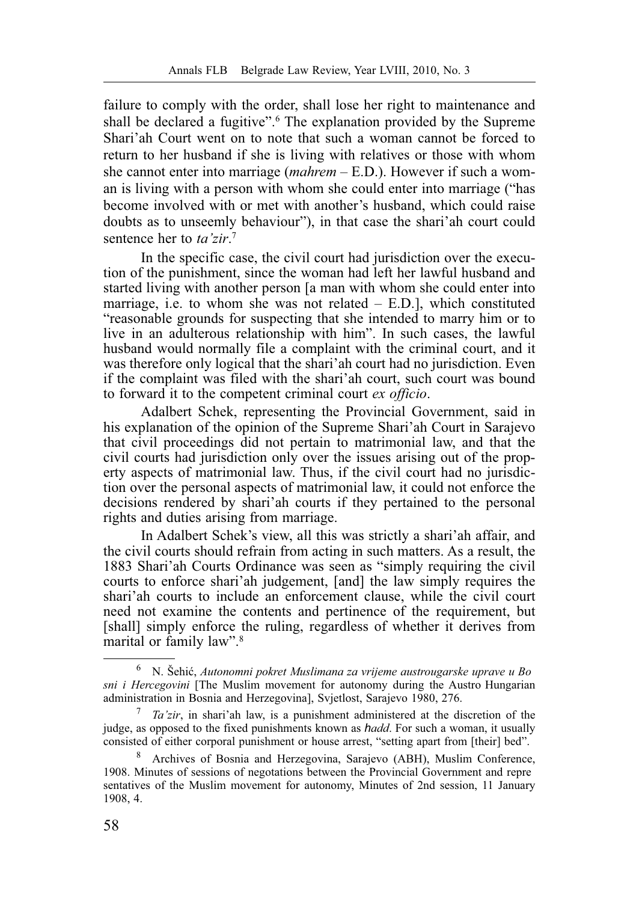failure to comply with the order, shall lose her right to maintenance and shall be declared a fugitive".<sup>6</sup> The explanation provided by the Supreme Shari'ah Court went on to note that such a woman cannot be forced to return to her husband if she is living with relatives or those with whom she cannot enter into marriage (*mahrem* – E.D.). However if such a woman is living with a person with whom she could enter into marriage ("has become involved with or met with another's husband, which could raise doubts as to unseemly behaviour"), in that case the shari'ah court could sentence her to *ta'zir*. 7

In the specific case, the civil court had jurisdiction over the execution of the punishment, since the woman had left her lawful husband and started living with another person [a man with whom she could enter into marriage, i.e. to whom she was not related  $-$  E.D.], which constituted "reasonable grounds for suspecting that she intended to marry him or to live in an adulterous relationship with him". In such cases, the lawful husband would normally file a complaint with the criminal court, and it was therefore only logical that the shari'ah court had no jurisdiction. Even if the complaint was filed with the shari'ah court, such court was bound to forward it to the competent criminal court *ex officio*.

Adalbert Schek, representing the Provincial Government, said in his explanation of the opinion of the Supreme Shari'ah Court in Sarajevo that civil proceedings did not pertain to matrimonial law, and that the civil courts had jurisdiction only over the issues arising out of the property aspects of matrimonial law. Thus, if the civil court had no jurisdiction over the personal aspects of matrimonial law, it could not enforce the decisions rendered by shari'ah courts if they pertained to the personal rights and duties arising from marriage.

In Adalbert Schek's view, all this was strictly a shari'ah affair, and the civil courts should refrain from acting in such matters. As a result, the 1883 Shari'ah Courts Ordinance was seen as "simply requiring the civil courts to enforce shari'ah judgement, [and] the law simply requires the shari'ah courts to include an enforcement clause, while the civil court need not examine the contents and pertinence of the requirement, but [shall] simply enforce the ruling, regardless of whether it derives from marital or family law".8

<sup>6</sup> N. Šehić, *Autonomni pokret Muslimana za vrijeme austrougarske uprave u Bo sni i Hercegovini* [The Muslim movement for autonomy during the Austro Hungarian administration in Bosnia and Herzegovina], Svjetlost, Sarajevo 1980, 276.

<sup>7</sup> *Ta'zir*, in shari'ah law, is a punishment administered at the discretion of the judge, as opposed to the fixed punishments known as *hadd*. For such a woman, it usually consisted of either corporal punishment or house arrest, "setting apart from [their] bed".

<sup>8</sup> Archives of Bosnia and Herzegovina, Sarajevo (ABH), Muslim Conference, 1908. Minutes of sessions of negotations between the Provincial Government and repre sentatives of the Muslim movement for autonomy, Minutes of 2nd session, 11 January 1908, 4.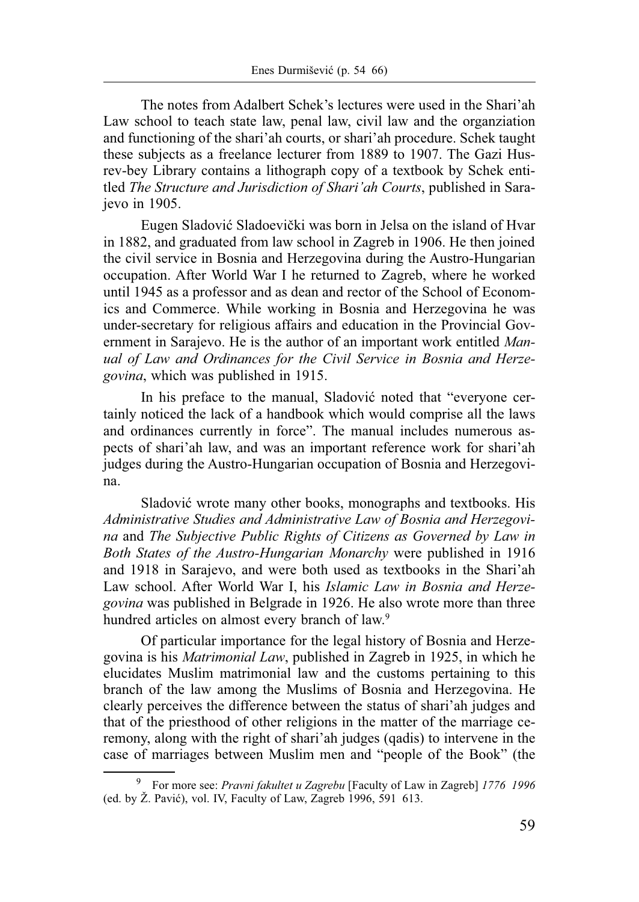The notes from Adalbert Schek's lectures were used in the Shari'ah Law school to teach state law, penal law, civil law and the organziation and functioning of the shari'ah courts, or shari'ah procedure. Schek taught these subjects as a freelance lecturer from 1889 to 1907. The Gazi Husrev-bey Library contains a lithograph copy of a textbook by Schek entitled *The Structure and Jurisdiction of Shari'ah Courts*, published in Sarajevo in 1905.

Eugen Sladović Sladoevički was born in Jelsa on the island of Hvar in 1882, and graduated from law school in Zagreb in 1906. He then joined the civil service in Bosnia and Herzegovina during the Austro-Hungarian occupation. After World War I he returned to Zagreb, where he worked until 1945 as a professor and as dean and rector of the School of Economics and Commerce. While working in Bosnia and Herzegovina he was under-secretary for religious affairs and education in the Provincial Government in Sarajevo. He is the author of an important work entitled *Manual of Law and Ordinances for the Civil Service in Bosnia and Herzegovina*, which was published in 1915.

In his preface to the manual, Sladović noted that "everyone certainly noticed the lack of a handbook which would comprise all the laws and ordinances currently in force". The manual includes numerous aspects of shari'ah law, and was an important reference work for shari'ah judges during the Austro-Hungarian occupation of Bosnia and Herzegovina.

Sladović wrote many other books, monographs and textbooks. His *Administrative Studies and Administrative Law of Bosnia and Herzegovina* and *The Subjective Public Rights of Citizens as Governed by Law in Both States of the Austro-Hungarian Monarchy* were published in 1916 and 1918 in Sarajevo, and were both used as textbooks in the Shari'ah Law school. After World War I, his *Islamic Law in Bosnia and Herzegovina* was published in Belgrade in 1926. He also wrote more than three hundred articles on almost every branch of law.<sup>9</sup>

Of particular importance for the legal history of Bosnia and Herzegovina is his *Matrimonial Law*, published in Zagreb in 1925, in which he elucidates Muslim matrimonial law and the customs pertaining to this branch of the law among the Muslims of Bosnia and Herzegovina. He clearly perceives the difference between the status of shari'ah judges and that of the priesthood of other religions in the matter of the marriage ceremony, along with the right of shari'ah judges (qadis) to intervene in the case of marriages between Muslim men and "people of the Book" (the

<sup>9</sup> For more see: *Pravni fakultet u Zagrebu* [Faculty of Law in Zagreb] *1776 1996*  (ed. by Ž. Pavić), vol. IV, Faculty of Law, Zagreb 1996, 591 613.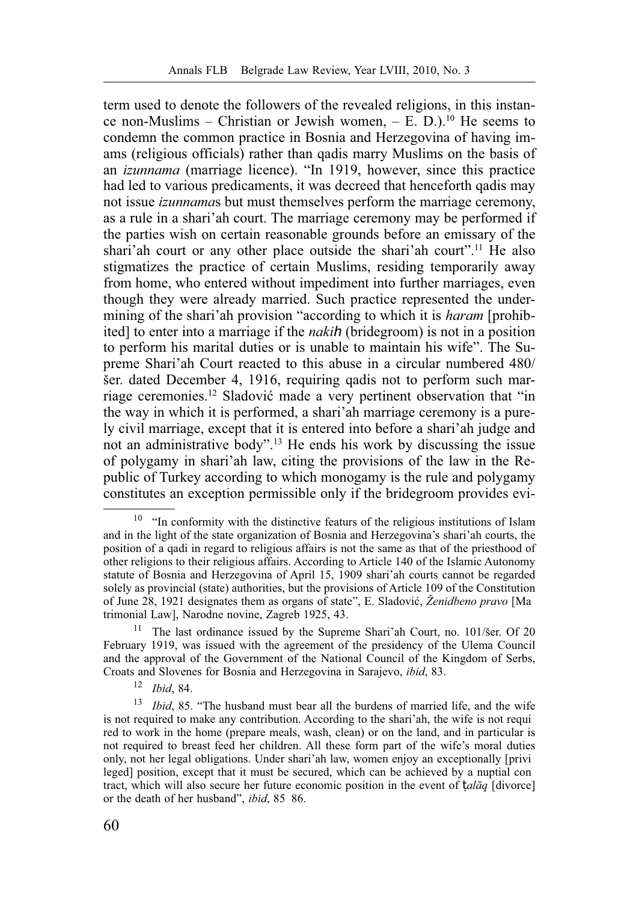term used to denote the followers of the revealed religions, in this instance non-Muslims – Christian or Jewish women,  $- E. D$ .<sup>10</sup> He seems to condemn the common practice in Bosnia and Herzegovina of having imams (religious officials) rather than qadis marry Muslims on the basis of an *izunnama* (marriage licence). "In 1919, however, since this practice had led to various predicaments, it was decreed that henceforth qadis may not issue *izunnama*s but must themselves perform the marriage ceremony, as a rule in a shari'ah court. The marriage ceremony may be performed if the parties wish on certain reasonable grounds before an emissary of the shari'ah court or any other place outside the shari'ah court".11 He also stigmatizes the practice of certain Muslims, residing temporarily away from home, who entered without impediment into further marriages, even though they were already married. Such practice represented the undermining of the shari'ah provision "according to which it is *haram* [prohibited] to enter into a marriage if the *nakih* (bridegroom) is not in a position to perform his marital duties or is unable to maintain his wife". The Supreme Shari'ah Court reacted to this abuse in a circular numbered 480/ šer. dated December 4, 1916, requiring qadis not to perform such marriage ceremonies.12 Sladović made a very pertinent observation that "in the way in which it is performed, a shari'ah marriage ceremony is a purely civil marriage, except that it is entered into before a shari'ah judge and not an administrative body".13 He ends his work by discussing the issue of polygamy in shari'ah law, citing the provisions of the law in the Republic of Turkey according to which monogamy is the rule and polygamy constitutes an exception permissible only if the bridegroom provides evi-

<sup>&</sup>lt;sup>10</sup> "In conformity with the distinctive featurs of the religious institutions of Islam and in the light of the state organization of Bosnia and Herzegovina's shari'ah courts, the position of a qadi in regard to religious affairs is not the same as that of the priesthood of other religions to their religious affairs. According to Article 140 of the Islamic Autonomy statute of Bosnia and Herzegovina of April 15, 1909 shari'ah courts cannot be regarded solely as provincial (state) authorities, but the provisions of Article 109 of the Constitution of June 28, 1921 designates them as organs of state", E. Sladović, *Ženidbeno pravo* [Ma trimonial Law], Narodne novine, Zagreb 1925, 43.

<sup>11</sup> The last ordinance issued by the Supreme Shari'ah Court, no. 101/šer. Of 20 February 1919, was issued with the agreement of the presidency of the Ulema Council and the approval of the Government of the National Council of the Kingdom of Serbs, Croats and Slovenes for Bosnia and Herzegovina in Sarajevo, *ibid*, 83.

<sup>12</sup> *Ibid*, 84.

<sup>13</sup> *Ibid*, 85. "The husband must bear all the burdens of married life, and the wife is not required to make any contribution. According to the shari'ah, the wife is not requi red to work in the home (prepare meals, wash, clean) or on the land, and in particular is not required to breast feed her children. All these form part of the wife's moral duties only, not her legal obligations. Under shari'ah law, women enjoy an exceptionally [privi leged] position, except that it must be secured, which can be achieved by a nuptial con tract, which will also secure her future economic position in the event of ṭ*alāq* [divorce] or the death of her husband", *ibid*, 85 86.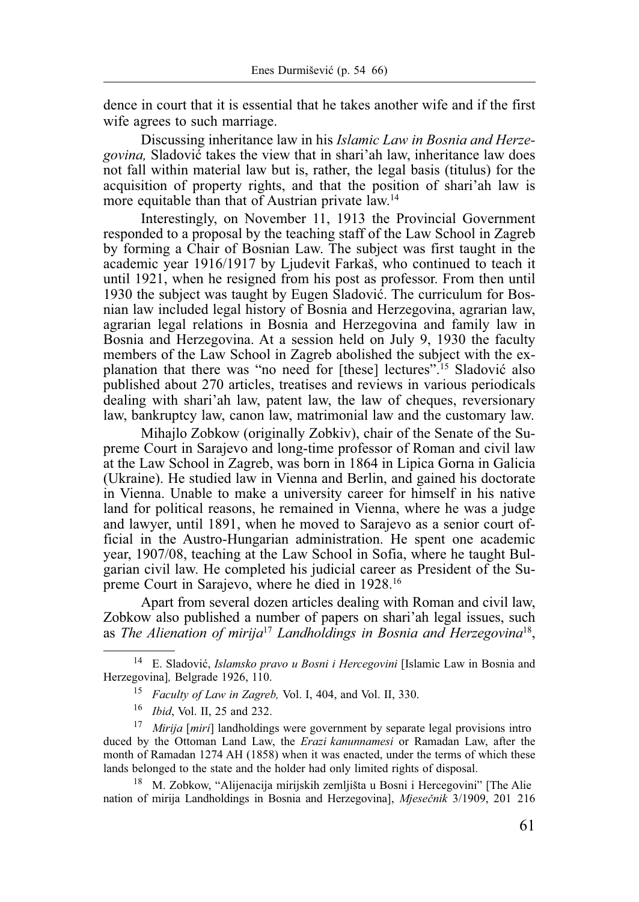dence in court that it is essential that he takes another wife and if the first wife agrees to such marriage.

Discussing inheritance law in his *Islamic Law in Bosnia and Herzegovina,* Sladović takes the view that in shari'ah law, inheritance law does not fall within material law but is, rather, the legal basis (titulus) for the acquisition of property rights, and that the position of shari'ah law is more equitable than that of Austrian private law.<sup>14</sup>

Interestingly, on November 11, 1913 the Provincial Government responded to a proposal by the teaching staff of the Law School in Zagreb by forming a Chair of Bosnian Law. The subject was first taught in the academic year 1916/1917 by Ljudevit Farkaš, who continued to teach it until 1921, when he resigned from his post as professor. From then until 1930 the subject was taught by Eugen Sladović. The curriculum for Bosnian law included legal history of Bosnia and Herzegovina, agrarian law, agrarian legal relations in Bosnia and Herzegovina and family law in Bosnia and Herzegovina. At a session held on July 9, 1930 the faculty members of the Law School in Zagreb abolished the subject with the explanation that there was "no need for [these] lectures".15 Sladović also published about 270 articles, treatises and reviews in various periodicals dealing with shari'ah law, patent law, the law of cheques, reversionary law, bankruptcy law, canon law, matrimonial law and the customary law.

Mihajlo Zobkow (originally Zobkiv), chair of the Senate of the Supreme Court in Sarajevo and long-time professor of Roman and civil law at the Law School in Zagreb, was born in 1864 in Lipica Gorna in Galicia (Ukraine). He studied law in Vienna and Berlin, and gained his doctorate in Vienna. Unable to make a university career for himself in his native land for political reasons, he remained in Vienna, where he was a judge and lawyer, until 1891, when he moved to Sarajevo as a senior court official in the Austro-Hungarian administration. He spent one academic year, 1907/08, teaching at the Law School in Sofia, where he taught Bulgarian civil law. He completed his judicial career as President of the Supreme Court in Sarajevo, where he died in 1928.16

Apart from several dozen articles dealing with Roman and civil law, Zobkow also published a number of papers on shari'ah legal issues, such as *The Alienation of mirija*<sup>17</sup> *Landholdings in Bosnia and Herzegovina*18,

14 E. Sladović, *Islamsko pravo u Bosni i Hercegovini* [Islamic Law in Bosnia and Herzegovina]*,* Belgrade 1926, 110.

<sup>15</sup> *Faculty of Law in Zagreb,* Vol. I, 404, and Vol. II, 330.

<sup>16</sup> *Ibid*, Vol. II, 25 and 232.

<sup>17</sup> *Mirija* [*miri*] landholdings were government by separate legal provisions intro duced by the Ottoman Land Law, the *Erazi kanunnamesi* or Ramadan Law, after the month of Ramadan 1274 AH (1858) when it was enacted, under the terms of which these lands belonged to the state and the holder had only limited rights of disposal.

<sup>18</sup> M. Zobkow, "Alijenacija mirijskih zemljišta u Bosni i Hercegovini" [The Alie nation of mirija Landholdings in Bosnia and Herzegovina], *Mjesečnik* 3/1909, 201 216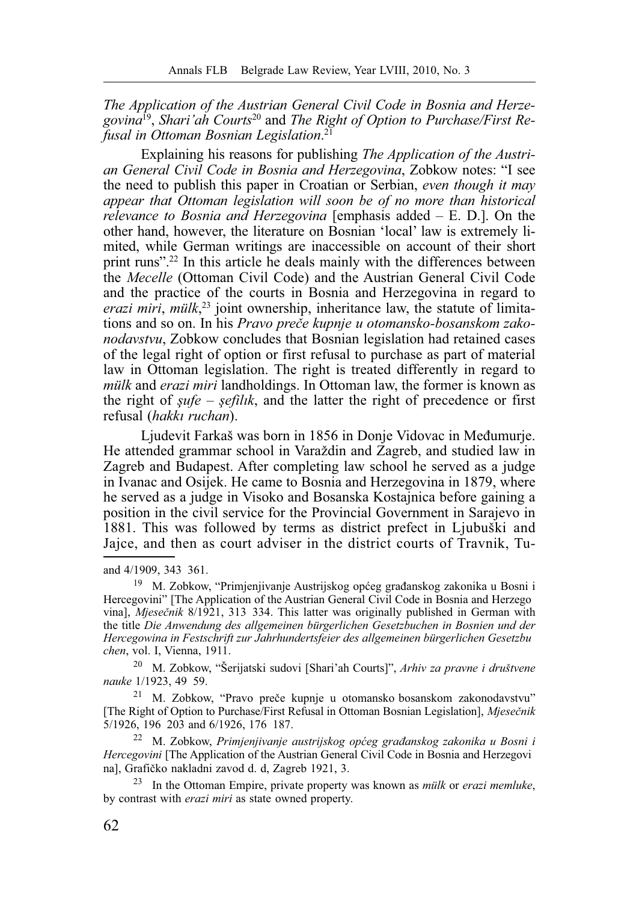*The Application of the Austrian General Civil Code in Bosnia and Herzegovina*19, *Shari'ah Courts*20 and *The Right of Option to Purchase/First Refusal in Ottoman Bosnian Legislation*. 21

Explaining his reasons for publishing *The Application of the Austrian General Civil Code in Bosnia and Herzegovina*, Zobkow notes: "I see the need to publish this paper in Croatian or Serbian, *even though it may appear that Ottoman legislation will soon be of no more than historical relevance to Bosnia and Herzegovina* [emphasis added – E. D.]. On the other hand, however, the literature on Bosnian 'local' law is extremely limited, while German writings are inaccessible on account of their short print runs".22 In this article he deals mainly with the differences between the *Mecelle* (Ottoman Civil Code) and the Austrian General Civil Code and the practice of the courts in Bosnia and Herzegovina in regard to *erazi miri*, *mülk*, 23 joint ownership, inheritance law, the statute of limitations and so on. In his *Pravo preče kupnje u otomansko-bosanskom zakonodavstvu*, Zobkow concludes that Bosnian legislation had retained cases of the legal right of option or first refusal to purchase as part of material law in Ottoman legislation. The right is treated differently in regard to *mülk* and *erazi miri* landholdings. In Ottoman law, the former is known as the right of *şufe* – *şefilık*, and the latter the right of precedence or first refusal (*hakkı ruchan*).

Ljudevit Farkaš was born in 1856 in Donje Vidovac in Međumurje. He attended grammar school in Varaždin and Zagreb, and studied law in Zagreb and Budapest. After completing law school he served as a judge in Ivanac and Osijek. He came to Bosnia and Herzegovina in 1879, where he served as a judge in Visoko and Bosanska Kostajnica before gaining a position in the civil service for the Provincial Government in Sarajevo in 1881. This was followed by terms as district prefect in Ljubuški and Jajce, and then as court adviser in the district courts of Travnik, Tu-

and 4/1909, 343 361.

19 M. Zobkow, "Primjenjivanje Austrijskog općeg građanskog zakonika u Bosni i Hercegovini" [The Application of the Austrian General Civil Code in Bosnia and Herzego vina], *Mjesečnik* 8/1921, 313 334. This latter was originally published in German with the title *Die Anwendung des allgemeinen bürgerlichen Gesetzbuchen in Bosnien und der Hercegowina in Festschrift zur Jahrhundertsfeier des allgemeinen bürgerlichen Gesetzbu chen*, vol. I, Vienna, 1911.

20 M. Zobkow, "Šerijatski sudovi [Shari'ah Courts]", *Arhiv za pravne i društvene nauke* 1/1923, 49 59.

21 M. Zobkow, "Pravo preče kupnje u otomansko bosanskom zakonodavstvu" [The Right of Option to Purchase/First Refusal in Ottoman Bosnian Legislation], *Mjesečnik*  5/1926, 196 203 and 6/1926, 176 187.

22 M. Zobkow, *Primjenjivanje austrijskog općeg građanskog zakonika u Bosni i Hercegovini* [The Application of the Austrian General Civil Code in Bosnia and Herzegovi na], Grafičko nakladni zavod d. d, Zagreb 1921, 3.

23 In the Ottoman Empire, private property was known as *mülk* or *erazi memluke*, by contrast with *erazi miri* as state owned property.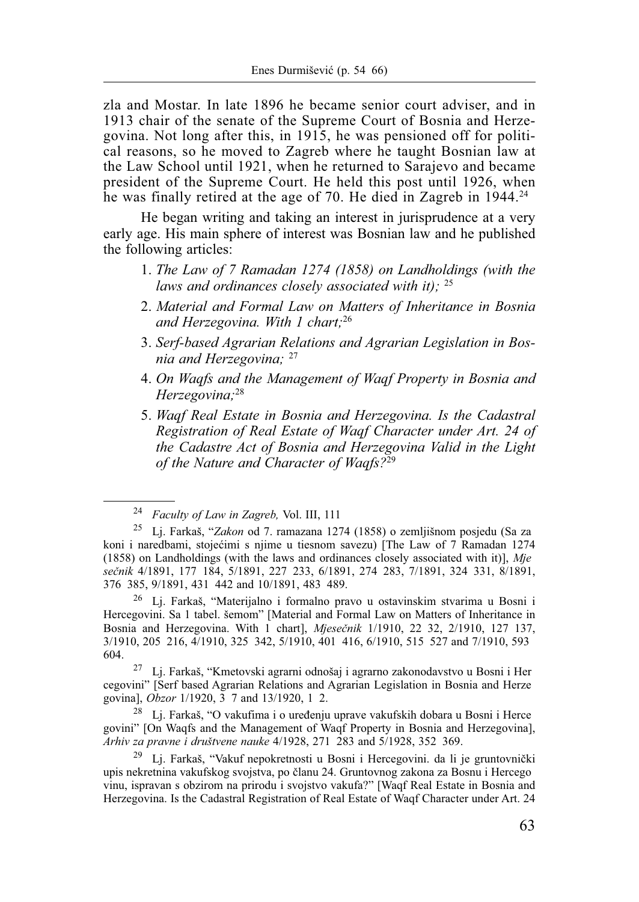zla and Mostar. In late 1896 he became senior court adviser, and in 1913 chair of the senate of the Supreme Court of Bosnia and Herzegovina. Not long after this, in 1915, he was pensioned off for political reasons, so he moved to Zagreb where he taught Bosnian law at the Law School until 1921, when he returned to Sarajevo and became president of the Supreme Court. He held this post until 1926, when he was finally retired at the age of 70. He died in Zagreb in 1944.<sup>24</sup>

He began writing and taking an interest in jurisprudence at a very early age. His main sphere of interest was Bosnian law and he published the following articles:

- 1. *The Law of 7 Ramadan 1274 (1858) on Landholdings (with the laws and ordinances closely associated with it);* <sup>25</sup>
- 2. *Material and Formal Law on Matters of Inheritance in Bosnia and Herzegovina. With 1 chart;*<sup>26</sup>
- 3. *Serf-based Agrarian Relations and Agrarian Legislation in Bosnia and Herzegovina;* <sup>27</sup>
- 4. *On Waqfs and the Management of Waqf Property in Bosnia and Herzegovina;*<sup>28</sup>
- 5. *Waqf Real Estate in Bosnia and Herzegovina. Is the Cadastral Registration of Real Estate of Waqf Character under Art. 24 of the Cadastre Act of Bosnia and Herzegovina Valid in the Light of the Nature and Character of Waqfs?*<sup>29</sup>

26 Lj. Farkaš, "Materijalno i formalno pravo u ostavinskim stvarima u Bosni i Hercegovini. Sa 1 tabel. šemom" [Material and Formal Law on Matters of Inheritance in Bosnia and Herzegovina. With 1 chart], *Mjesečnik* 1/1910, 22 32, 2/1910, 127 137, 3/1910, 205 216, 4/1910, 325 342, 5/1910, 401 416, 6/1910, 515 527 and 7/1910, 593 604.

27 Lj. Farkaš, "Kmetovski agrarni odnošaj i agrarno zakonodavstvo u Bosni i Her cegovini" [Serf based Agrarian Relations and Agrarian Legislation in Bosnia and Herze govina], *Obzor* 1/1920, 3 7 and 13/1920, 1 2.

28 Lj. Farkaš, "O vakufima i o uređenju uprave vakufskih dobara u Bosni i Herce govini" [On Waqfs and the Management of Waqf Property in Bosnia and Herzegovina], *Arhiv za pravne i društvene nauke* 4/1928, 271 283 and 5/1928, 352 369.

<sup>29</sup> Lj. Farkaš, "Vakuf nepokretnosti u Bosni i Hercegovini. da li je gruntovnički upis nekretnina vakufskog svojstva, po članu 24. Gruntovnog zakona za Bosnu i Hercego vinu, ispravan s obzirom na prirodu i svojstvo vakufa?" [Waqf Real Estate in Bosnia and Herzegovina. Is the Cadastral Registration of Real Estate of Waqf Character under Art. 24

<sup>24</sup> *Faculty of Law in Zagreb,* Vol. III, 111

<sup>25</sup> Lj. Farkaš, "*Zakon* od 7. ramazana 1274 (1858) o zemljišnom posjedu (Sa za koni i naredbami, stojećimi s njime u tiesnom savezu) [The Law of 7 Ramadan 1274 (1858) on Landholdings (with the laws and ordinances closely associated with it)], *Mje sečnik* 4/1891, 177 184, 5/1891, 227 233, 6/1891, 274 283, 7/1891, 324 331, 8/1891, 376 385, 9/1891, 431 442 and 10/1891, 483 489.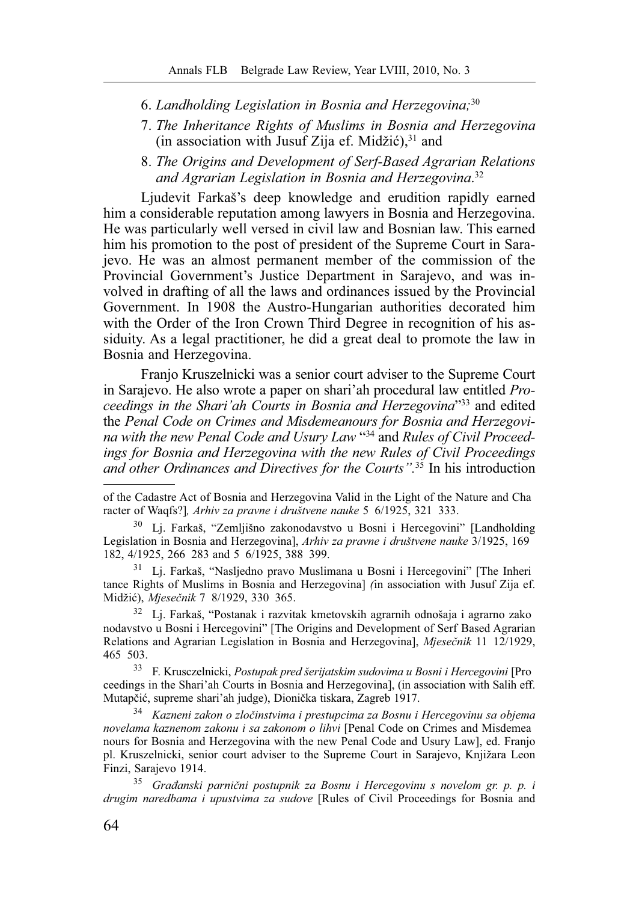- 6. *Landholding Legislation in Bosnia and Herzegovina;*<sup>30</sup>
- 7. *The Inheritance Rights of Muslims in Bosnia and Herzegovina* (in association with Jusuf Zija ef. Midžić), $31$  and
- 8. *The Origins and Development of Serf-Based Agrarian Relations and Agrarian Legislation in Bosnia and Herzegovina*. 32

Ljudevit Farkaš's deep knowledge and erudition rapidly earned him a considerable reputation among lawyers in Bosnia and Herzegovina. He was particularly well versed in civil law and Bosnian law. This earned him his promotion to the post of president of the Supreme Court in Sarajevo. He was an almost permanent member of the commission of the Provincial Government's Justice Department in Sarajevo, and was involved in drafting of all the laws and ordinances issued by the Provincial Government. In 1908 the Austro-Hungarian authorities decorated him with the Order of the Iron Crown Third Degree in recognition of his assiduity. As a legal practitioner, he did a great deal to promote the law in Bosnia and Herzegovina.

Franjo Kruszelnicki was a senior court adviser to the Supreme Court in Sarajevo. He also wrote a paper on shari'ah procedural law entitled *Proceedings in the Shari'ah Courts in Bosnia and Herzegovina*"33 and edited the *Penal Code on Crimes and Misdemeanours for Bosnia and Herzegovina with the new Penal Code and Usury Law* "34 and *Rules of Civil Proceedings for Bosnia and Herzegovina with the new Rules of Civil Proceedings and other Ordinances and Directives for the Courts".*35 In his introduction

of the Cadastre Act of Bosnia and Herzegovina Valid in the Light of the Nature and Cha racter of Waqfs?]*, Arhiv za pravne i društvene nauke* 5 6/1925, 321 333.

30 Lj. Farkaš, "Zemljišno zakonodavstvo u Bosni i Hercegovini" [Landholding Legislation in Bosnia and Herzegovina], *Arhiv za pravne i društvene nauke* 3/1925, 169 182, 4/1925, 266 283 and 5 6/1925, 388 399.

31 Lj. Farkaš, "Nasljedno pravo Muslimana u Bosni i Hercegovini" [The Inheri tance Rights of Muslims in Bosnia and Herzegovina] *(*in association with Jusuf Zija ef. Midžić), *Mjesečnik* 7 8/1929, 330 365.

32 Lj. Farkaš, "Postanak i razvitak kmetovskih agrarnih odnošaja i agrarno zako nodavstvo u Bosni i Hercegovini" [The Origins and Development of Serf Based Agrarian Relations and Agrarian Legislation in Bosnia and Herzegovina], *Mjesečnik* 11 12/1929, 465 503.

33 F. Krusczelnicki, *Postupak pred šerijatskim sudovima u Bosni i Hercegovini* [Pro ceedings in the Shari'ah Courts in Bosnia and Herzegovina], (in association with Salih eff. Mutapčić, supreme shari'ah judge), Dionička tiskara, Zagreb 1917.

<sup>34</sup> *Kazneni zakon o zločinstvima i prestupcima za Bosnu i Hercegovinu sa objema novelama kaznenom zakonu i sa zakonom o lihvi* [Penal Code on Crimes and Misdemea nours for Bosnia and Herzegovina with the new Penal Code and Usury Law], ed. Franjo pl. Kruszelnicki, senior court adviser to the Supreme Court in Sarajevo, Knjižara Leon Finzi, Sarajevo 1914.

<sup>35</sup> *Građanski parnični postupnik za Bosnu i Hercegovinu s novelom gr. p. p. i drugim naredbama i upustvima za sudove* [Rules of Civil Proceedings for Bosnia and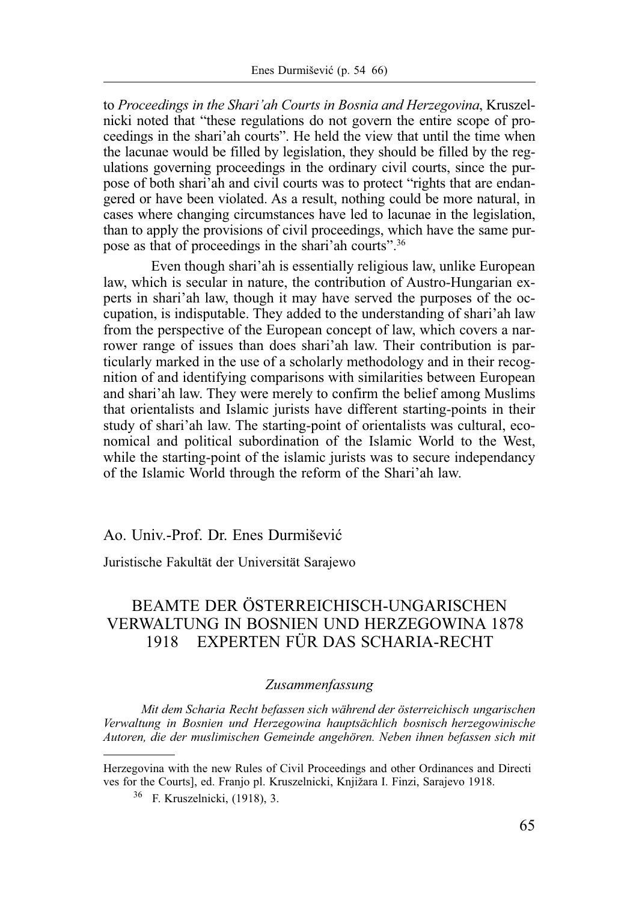to *Proceedings in the Shari'ah Courts in Bosnia and Herzegovina*, Kruszelnicki noted that "these regulations do not govern the entire scope of proceedings in the shari'ah courts". He held the view that until the time when the lacunae would be filled by legislation, they should be filled by the regulations governing proceedings in the ordinary civil courts, since the purpose of both shari'ah and civil courts was to protect "rights that are endangered or have been violated. As a result, nothing could be more natural, in cases where changing circumstances have led to lacunae in the legislation, than to apply the provisions of civil proceedings, which have the same purpose as that of proceedings in the shari'ah courts".36

Even though shari'ah is essentially religious law, unlike European law, which is secular in nature, the contribution of Austro-Hungarian experts in shari'ah law, though it may have served the purposes of the occupation, is indisputable. They added to the understanding of shari'ah law from the perspective of the European concept of law, which covers a narrower range of issues than does shari'ah law. Their contribution is particularly marked in the use of a scholarly methodology and in their recognition of and identifying comparisons with similarities between European and shari'ah law. They were merely to confirm the belief among Muslims that orientalists and Islamic jurists have different starting-points in their study of shari'ah law. The starting-point of orientalists was cultural, economical and political subordination of the Islamic World to the West, while the starting-point of the islamic jurists was to secure independancy of the Islamic World through the reform of the Shari'ah law.

## Ao. Univ.-Prof. Dr. Enes Durmišević

Juristische Fakultät der Universität Sarajewo

## BEAMTE DER ÖSTERREICHISCH-UNGARISCHEN VERWALTUNG IN BOSNIEN UND HERZEGOWINA 1878 1918 EXPERTEN FÜR DAS SCHARIA-RECHT

## *Zusammenfassung*

*Mit dem Scharia Recht befassen sich während der österreichisch ungarischen Verwaltung in Bosnien und Herzegowina hauptsächlich bosnisch herzegowinische Autoren, die der muslimischen Gemeinde angehören. Neben ihnen befassen sich mit* 

Herzegovina with the new Rules of Civil Proceedings and other Ordinances and Directi ves for the Courts], ed. Franjo pl. Kruszelnicki, Knjižara I. Finzi, Sarajevo 1918.

<sup>36</sup> F. Kruszelnicki, (1918), 3.